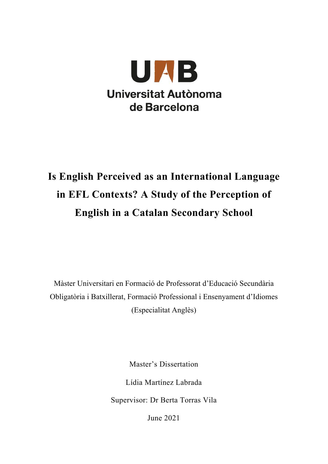

# **Is English Perceived as an International Language in EFL Contexts? A Study of the Perception of English in a Catalan Secondary School**

Màster Universitari en Formació de Professorat d'Educació Secundària Obligatòria i Batxillerat, Formació Professional i Ensenyament d'Idiomes (Especialitat Anglès)

Master's Dissertation

Lídia Martínez Labrada

Supervisor: Dr Berta Torras Vila

June 2021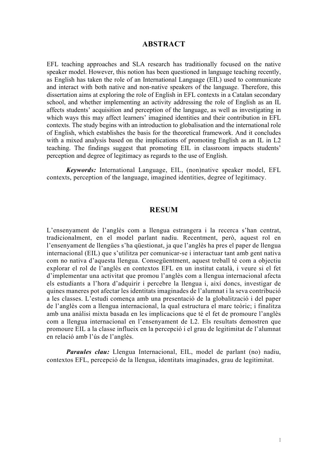#### **ABSTRACT**

EFL teaching approaches and SLA research has traditionally focused on the native speaker model. However, this notion has been questioned in language teaching recently, as English has taken the role of an International Language (EIL) used to communicate and interact with both native and non-native speakers of the language. Therefore, this dissertation aims at exploring the role of English in EFL contexts in a Catalan secondary school, and whether implementing an activity addressing the role of English as an IL affects students' acquisition and perception of the language, as well as investigating in which ways this may affect learners' imagined identities and their contribution in EFL contexts. The study begins with an introduction to globalisation and the international role of English, which establishes the basis for the theoretical framework. And it concludes with a mixed analysis based on the implications of promoting English as an IL in L2 teaching. The findings suggest that promoting EIL in classroom impacts students' perception and degree of legitimacy as regards to the use of English.

*Keywords:* International Language, EIL, (non)native speaker model, EFL contexts, perception of the language, imagined identities, degree of legitimacy.

#### **RESUM**

L'ensenyament de l'anglès com a llengua estrangera i la recerca s'han centrat, tradicionalment, en el model parlant nadiu. Recentment, però, aquest rol en l'ensenyament de llengües s'ha qüestionat, ja que l'anglès ha pres el paper de llengua internacional (EIL) que s'utilitza per comunicar-se i interactuar tant amb gent nativa com no nativa d'aquesta llengua. Consegüentment, aquest treball té com a objectiu explorar el rol de l'anglès en contextos EFL en un institut català, i veure si el fet d'implementar una activitat que promou l'anglès com a llengua internacional afecta els estudiants a l'hora d'adquirir i percebre la llengua i, així doncs, investigar de quines maneres pot afectar les identitats imaginades de l'alumnat i la seva contribució a les classes. L'estudi comença amb una presentació de la globalització i del paper de l'anglès com a llengua internacional, la qual estructura el marc teòric; i finalitza amb una anàlisi mixta basada en les implicacions que té el fet de promoure l'anglès com a llengua internacional en l'ensenyament de L2. Els resultats demostren que promoure EIL a la classe influeix en la percepció i el grau de legitimitat de l'alumnat en relació amb l'ús de l'anglès.

*Paraules clau:* Llengua Internacional, EIL, model de parlant (no) nadiu, contextos EFL, percepció de la llengua, identitats imaginades, grau de legitimitat.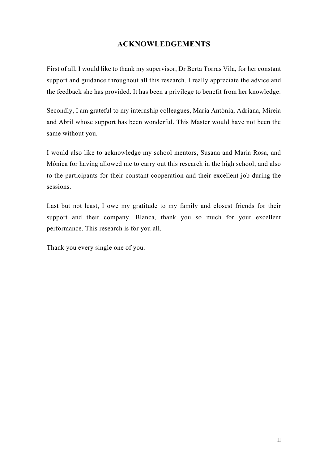# **ACKNOWLEDGEMENTS**

First of all, I would like to thank my supervisor, Dr Berta Torras Vila, for her constant support and guidance throughout all this research. I really appreciate the advice and the feedback she has provided. It has been a privilege to benefit from her knowledge.

Secondly, I am grateful to my internship colleagues, Maria Antònia, Adriana, Mireia and Abril whose support has been wonderful. This Master would have not been the same without you.

I would also like to acknowledge my school mentors, Susana and Maria Rosa, and Mónica for having allowed me to carry out this research in the high school; and also to the participants for their constant cooperation and their excellent job during the sessions.

Last but not least, I owe my gratitude to my family and closest friends for their support and their company. Blanca, thank you so much for your excellent performance. This research is for you all.

Thank you every single one of you.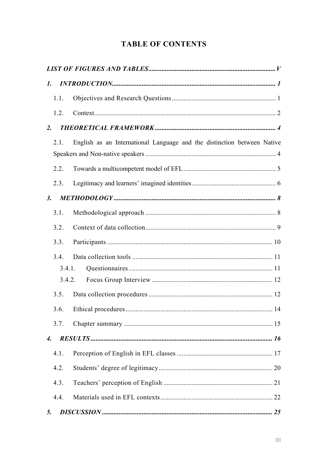# **TABLE OF CONTENTS**

| $\mathbf{I}$ .     |        |                                                                         |  |
|--------------------|--------|-------------------------------------------------------------------------|--|
|                    | 1.1.   |                                                                         |  |
|                    | 1.2.   |                                                                         |  |
| 2.                 |        |                                                                         |  |
|                    | 2.1.   | English as an International Language and the distinction between Native |  |
|                    |        |                                                                         |  |
|                    | 2.2.   |                                                                         |  |
|                    | 2.3.   |                                                                         |  |
| 3.                 |        |                                                                         |  |
|                    | 3.1.   |                                                                         |  |
|                    | 3.2.   |                                                                         |  |
|                    | 3.3.   |                                                                         |  |
|                    | 3.4.   |                                                                         |  |
|                    | 3.4.1. |                                                                         |  |
|                    | 3.4.2. |                                                                         |  |
|                    | 3.5.   |                                                                         |  |
|                    | 3.6.   |                                                                         |  |
|                    | 3.7.   |                                                                         |  |
| $\boldsymbol{4}$ . |        |                                                                         |  |
|                    | 4.1.   |                                                                         |  |
|                    | 4.2.   |                                                                         |  |
|                    | 4.3.   |                                                                         |  |
|                    | 4.4.   |                                                                         |  |
| 5.                 |        |                                                                         |  |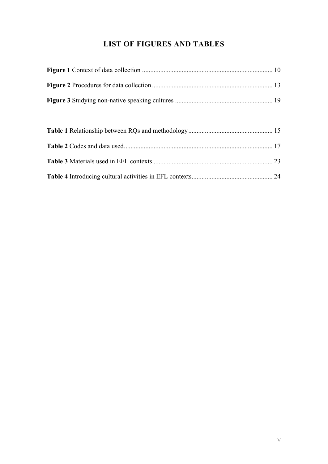# **LIST OF FIGURES AND TABLES**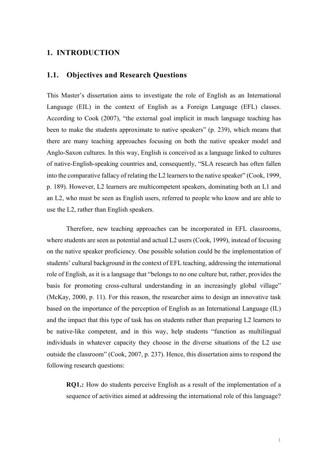#### **1. INTRODUCTION**

#### **1.1. Objectives and Research Questions**

This Master's dissertation aims to investigate the role of English as an International Language (EIL) in the context of English as a Foreign Language (EFL) classes. According to Cook (2007), "the external goal implicit in much language teaching has been to make the students approximate to native speakers" (p. 239), which means that there are many teaching approaches focusing on both the native speaker model and Anglo-Saxon cultures. In this way, English is conceived as a language linked to cultures of native-English-speaking countries and, consequently, "SLA research has often fallen into the comparative fallacy of relating the L2 learners to the native speaker" (Cook, 1999, p. 189). However, L2 learners are multicompetent speakers, dominating both an L1 and an L2, who must be seen as English users, referred to people who know and are able to use the L2, rather than English speakers.

Therefore, new teaching approaches can be incorporated in EFL classrooms, where students are seen as potential and actual L2 users (Cook, 1999), instead of focusing on the native speaker proficiency. One possible solution could be the implementation of students' cultural background in the context of EFL teaching, addressing the international role of English, as it is a language that "belongs to no one culture but, rather, provides the basis for promoting cross-cultural understanding in an increasingly global village" (McKay, 2000, p. 11). For this reason, the researcher aims to design an innovative task based on the importance of the perception of English as an International Language (IL) and the impact that this type of task has on students rather than preparing L2 learners to be native-like competent, and in this way, help students "function as multilingual individuals in whatever capacity they choose in the diverse situations of the L2 use outside the classroom" (Cook, 2007, p. 237). Hence, this dissertation aims to respond the following research questions:

**RQ1.:** How do students perceive English as a result of the implementation of a sequence of activities aimed at addressing the international role of this language?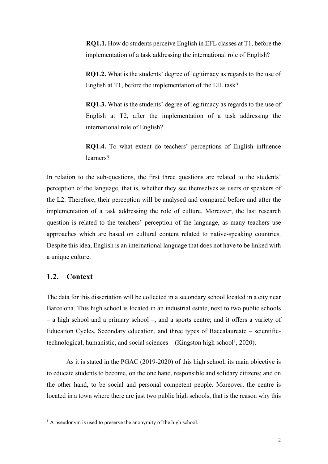**RQ1.1.** How do students perceive English in EFL classes at T1, before the implementation of a task addressing the international role of English?

**RQ1.2.** What is the students' degree of legitimacy as regards to the use of English at T1, before the implementation of the EIL task?

**RQ1.3.** What is the students' degree of legitimacy as regards to the use of English at T2, after the implementation of a task addressing the international role of English?

**RQ1.4.** To what extent do teachers' perceptions of English influence learners?

In relation to the sub-questions, the first three questions are related to the students' perception of the language, that is, whether they see themselves as users or speakers of the L2. Therefore, their perception will be analysed and compared before and after the implementation of a task addressing the role of culture. Moreover, the last research question is related to the teachers' perception of the language, as many teachers use approaches which are based on cultural content related to native-speaking countries. Despite this idea, English is an international language that does not have to be linked with a unique culture.

#### **1.2. Context**

The data for this dissertation will be collected in a secondary school located in a city near Barcelona. This high school is located in an industrial estate, next to two public schools – a high school and a primary school –, and a sports centre; and it offers a variety of Education Cycles, Secondary education, and three types of Baccalaureate – scientifictechnological, humanistic, and social sciences  $-$  (Kingston high school<sup>1</sup>, 2020).

As it is stated in the PGAC (2019-2020) of this high school, its main objective is to educate students to become, on the one hand, responsible and solidary citizens; and on the other hand, to be social and personal competent people. Moreover, the centre is located in a town where there are just two public high schools, that is the reason why this

 $<sup>1</sup>$  A pseudonym is used to preserve the anonymity of the high school.</sup>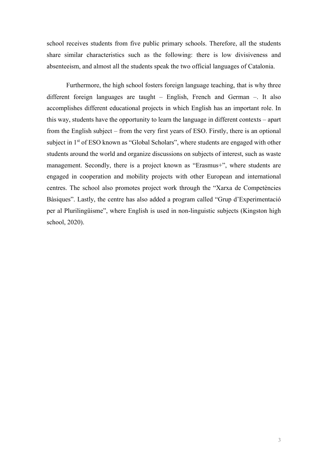school receives students from five public primary schools. Therefore, all the students share similar characteristics such as the following: there is low divisiveness and absenteeism, and almost all the students speak the two official languages of Catalonia.

Furthermore, the high school fosters foreign language teaching, that is why three different foreign languages are taught – English, French and German –. It also accomplishes different educational projects in which English has an important role. In this way, students have the opportunity to learn the language in different contexts – apart from the English subject – from the very first years of ESO. Firstly, there is an optional subject in 1<sup>st</sup> of ESO known as "Global Scholars", where students are engaged with other students around the world and organize discussions on subjects of interest, such as waste management. Secondly, there is a project known as "Erasmus+", where students are engaged in cooperation and mobility projects with other European and international centres. The school also promotes project work through the "Xarxa de Competències Bàsiques". Lastly, the centre has also added a program called "Grup d'Experimentació per al Plurilingüisme", where English is used in non-linguistic subjects (Kingston high school, 2020).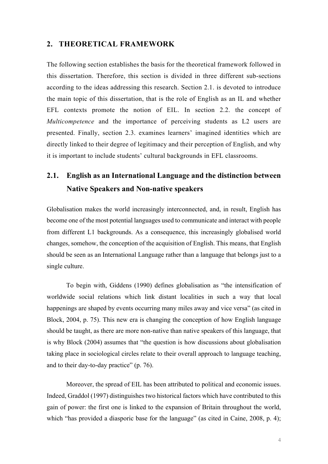#### **2. THEORETICAL FRAMEWORK**

The following section establishes the basis for the theoretical framework followed in this dissertation. Therefore, this section is divided in three different sub-sections according to the ideas addressing this research. Section 2.1. is devoted to introduce the main topic of this dissertation, that is the role of English as an IL and whether EFL contexts promote the notion of EIL. In section 2.2. the concept of *Multicompetence* and the importance of perceiving students as L2 users are presented. Finally, section 2.3. examines learners' imagined identities which are directly linked to their degree of legitimacy and their perception of English, and why it is important to include students' cultural backgrounds in EFL classrooms.

# **2.1. English as an International Language and the distinction between Native Speakers and Non-native speakers**

Globalisation makes the world increasingly interconnected, and, in result, English has become one of the most potential languages used to communicate and interact with people from different L1 backgrounds. As a consequence, this increasingly globalised world changes, somehow, the conception of the acquisition of English. This means, that English should be seen as an International Language rather than a language that belongs just to a single culture.

To begin with, Giddens (1990) defines globalisation as "the intensification of worldwide social relations which link distant localities in such a way that local happenings are shaped by events occurring many miles away and vice versa" (as cited in Block, 2004, p. 75). This new era is changing the conception of how English language should be taught, as there are more non-native than native speakers of this language, that is why Block (2004) assumes that "the question is how discussions about globalisation taking place in sociological circles relate to their overall approach to language teaching, and to their day-to-day practice" (p. 76).

Moreover, the spread of EIL has been attributed to political and economic issues. Indeed, Graddol (1997) distinguishes two historical factors which have contributed to this gain of power: the first one is linked to the expansion of Britain throughout the world, which "has provided a diasporic base for the language" (as cited in Caine, 2008, p. 4);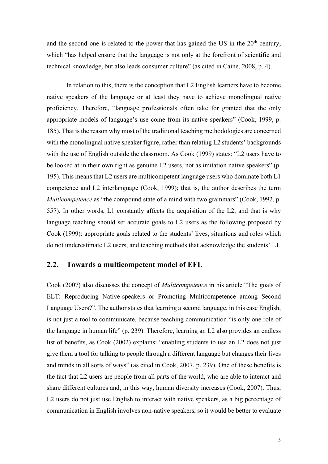and the second one is related to the power that has gained the US in the  $20<sup>th</sup>$  century, which "has helped ensure that the language is not only at the forefront of scientific and technical knowledge, but also leads consumer culture" (as cited in Caine, 2008, p. 4).

In relation to this, there is the conception that L2 English learners have to become native speakers of the language or at least they have to achieve monolingual native proficiency. Therefore, "language professionals often take for granted that the only appropriate models of language's use come from its native speakers" (Cook, 1999, p. 185). That is the reason why most of the traditional teaching methodologies are concerned with the monolingual native speaker figure, rather than relating L2 students' backgrounds with the use of English outside the classroom. As Cook (1999) states: "L2 users have to be looked at in their own right as genuine L2 users, not as imitation native speakers" (p. 195). This means that L2 users are multicompetent language users who dominate both L1 competence and L2 interlanguage (Cook, 1999); that is, the author describes the term *Multicompetence* as "the compound state of a mind with two grammars" (Cook, 1992, p. 557). In other words, L1 constantly affects the acquisition of the L2, and that is why language teaching should set accurate goals to L2 users as the following proposed by Cook (1999): appropriate goals related to the students' lives, situations and roles which do not underestimate L2 users, and teaching methods that acknowledge the students' L1.

#### **2.2. Towards a multicompetent model of EFL**

Cook (2007) also discusses the concept of *Multicompetence* in his article "The goals of ELT: Reproducing Native-speakers or Promoting Multicompetence among Second Language Users?". The author states that learning a second language, in this case English, is not just a tool to communicate, because teaching communication "is only one role of the language in human life" (p. 239). Therefore, learning an L2 also provides an endless list of benefits, as Cook (2002) explains: "enabling students to use an L2 does not just give them a tool for talking to people through a different language but changes their lives and minds in all sorts of ways" (as cited in Cook, 2007, p. 239). One of these benefits is the fact that L2 users are people from all parts of the world, who are able to interact and share different cultures and, in this way, human diversity increases (Cook, 2007). Thus, L2 users do not just use English to interact with native speakers, as a big percentage of communication in English involves non-native speakers, so it would be better to evaluate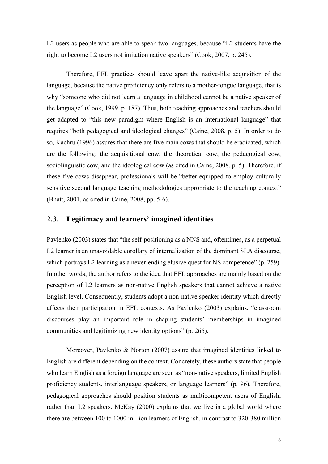L2 users as people who are able to speak two languages, because "L2 students have the right to become L2 users not imitation native speakers" (Cook, 2007, p. 245).

Therefore, EFL practices should leave apart the native-like acquisition of the language, because the native proficiency only refers to a mother-tongue language, that is why "someone who did not learn a language in childhood cannot be a native speaker of the language" (Cook, 1999, p. 187). Thus, both teaching approaches and teachers should get adapted to "this new paradigm where English is an international language" that requires "both pedagogical and ideological changes" (Caine, 2008, p. 5). In order to do so, Kachru (1996) assures that there are five main cows that should be eradicated, which are the following: the acquisitional cow, the theoretical cow, the pedagogical cow, sociolinguistic cow, and the ideological cow (as cited in Caine, 2008, p. 5). Therefore, if these five cows disappear, professionals will be "better-equipped to employ culturally sensitive second language teaching methodologies appropriate to the teaching context" (Bhatt, 2001, as cited in Caine, 2008, pp. 5-6).

#### **2.3. Legitimacy and learners' imagined identities**

Pavlenko (2003) states that "the self-positioning as a NNS and, oftentimes, as a perpetual L2 learner is an unavoidable corollary of internalization of the dominant SLA discourse, which portrays L2 learning as a never-ending elusive quest for NS competence" (p. 259). In other words, the author refers to the idea that EFL approaches are mainly based on the perception of L2 learners as non-native English speakers that cannot achieve a native English level. Consequently, students adopt a non-native speaker identity which directly affects their participation in EFL contexts. As Pavlenko (2003) explains, "classroom discourses play an important role in shaping students' memberships in imagined communities and legitimizing new identity options" (p. 266).

Moreover, Pavlenko & Norton (2007) assure that imagined identities linked to English are different depending on the context. Concretely, these authors state that people who learn English as a foreign language are seen as "non-native speakers, limited English proficiency students, interlanguage speakers, or language learners" (p. 96). Therefore, pedagogical approaches should position students as multicompetent users of English, rather than L2 speakers. McKay (2000) explains that we live in a global world where there are between 100 to 1000 million learners of English, in contrast to 320-380 million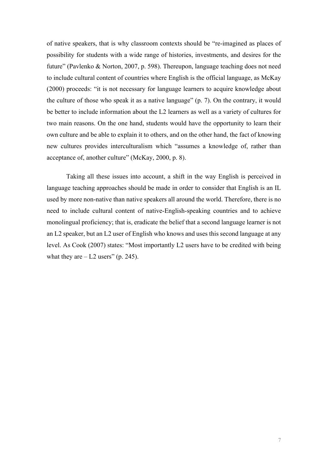of native speakers, that is why classroom contexts should be "re-imagined as places of possibility for students with a wide range of histories, investments, and desires for the future" (Pavlenko & Norton, 2007, p. 598). Thereupon, language teaching does not need to include cultural content of countries where English is the official language, as McKay (2000) proceeds: "it is not necessary for language learners to acquire knowledge about the culture of those who speak it as a native language" (p. 7). On the contrary, it would be better to include information about the L2 learners as well as a variety of cultures for two main reasons. On the one hand, students would have the opportunity to learn their own culture and be able to explain it to others, and on the other hand, the fact of knowing new cultures provides interculturalism which "assumes a knowledge of, rather than acceptance of, another culture" (McKay, 2000, p. 8).

Taking all these issues into account, a shift in the way English is perceived in language teaching approaches should be made in order to consider that English is an IL used by more non-native than native speakers all around the world. Therefore, there is no need to include cultural content of native-English-speaking countries and to achieve monolingual proficiency; that is, eradicate the belief that a second language learner is not an L2 speaker, but an L2 user of English who knows and uses this second language at any level. As Cook (2007) states: "Most importantly L2 users have to be credited with being what they are  $-$  L2 users" (p. 245).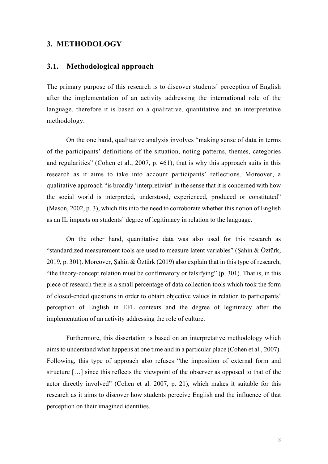#### **3. METHODOLOGY**

#### **3.1. Methodological approach**

The primary purpose of this research is to discover students' perception of English after the implementation of an activity addressing the international role of the language, therefore it is based on a qualitative, quantitative and an interpretative methodology.

On the one hand, qualitative analysis involves "making sense of data in terms of the participants' definitions of the situation, noting patterns, themes, categories and regularities" (Cohen et al., 2007, p. 461), that is why this approach suits in this research as it aims to take into account participants' reflections. Moreover, a qualitative approach "is broadly 'interpretivist' in the sense that it is concerned with how the social world is interpreted, understood, experienced, produced or constituted" (Mason, 2002, p. 3), which fits into the need to corroborate whether this notion of English as an IL impacts on students' degree of legitimacy in relation to the language.

On the other hand, quantitative data was also used for this research as "standardized measurement tools are used to measure latent variables" (Şahin & Öztürk, 2019, p. 301). Moreover, Şahin & Öztürk (2019) also explain that in this type of research, "the theory-concept relation must be confirmatory or falsifying" (p. 301). That is, in this piece of research there is a small percentage of data collection tools which took the form of closed-ended questions in order to obtain objective values in relation to participants' perception of English in EFL contexts and the degree of legitimacy after the implementation of an activity addressing the role of culture.

Furthermore, this dissertation is based on an interpretative methodology which aims to understand what happens at one time and in a particular place (Cohen et al., 2007). Following, this type of approach also refuses "the imposition of external form and structure […] since this reflects the viewpoint of the observer as opposed to that of the actor directly involved" (Cohen et al. 2007, p. 21), which makes it suitable for this research as it aims to discover how students perceive English and the influence of that perception on their imagined identities.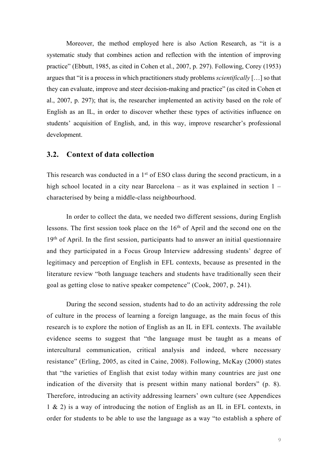Moreover, the method employed here is also Action Research, as "it is a systematic study that combines action and reflection with the intention of improving practice" (Ebbutt, 1985, as cited in Cohen et al., 2007, p. 297). Following, Corey (1953) argues that "it is a process in which practitioners study problems *scientifically* […] so that they can evaluate, improve and steer decision-making and practice" (as cited in Cohen et al., 2007, p. 297); that is, the researcher implemented an activity based on the role of English as an IL, in order to discover whether these types of activities influence on students' acquisition of English, and, in this way, improve researcher's professional development.

#### **3.2. Context of data collection**

This research was conducted in a 1<sup>st</sup> of ESO class during the second practicum, in a high school located in a city near Barcelona – as it was explained in section 1 – characterised by being a middle-class neighbourhood.

In order to collect the data, we needed two different sessions, during English lessons. The first session took place on the 16<sup>th</sup> of April and the second one on the  $19<sup>th</sup>$  of April. In the first session, participants had to answer an initial questionnaire and they participated in a Focus Group Interview addressing students' degree of legitimacy and perception of English in EFL contexts, because as presented in the literature review "both language teachers and students have traditionally seen their goal as getting close to native speaker competence" (Cook, 2007, p. 241).

During the second session, students had to do an activity addressing the role of culture in the process of learning a foreign language, as the main focus of this research is to explore the notion of English as an IL in EFL contexts. The available evidence seems to suggest that "the language must be taught as a means of intercultural communication, critical analysis and indeed, where necessary resistance" (Erling, 2005, as cited in Caine, 2008). Following, McKay (2000) states that "the varieties of English that exist today within many countries are just one indication of the diversity that is present within many national borders" (p. 8). Therefore, introducing an activity addressing learners' own culture (see Appendices 1 & 2) is a way of introducing the notion of English as an IL in EFL contexts, in order for students to be able to use the language as a way "to establish a sphere of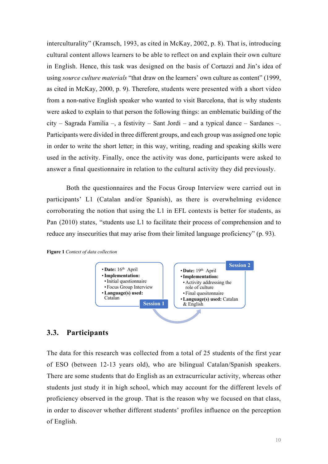interculturality" (Kramsch, 1993, as cited in McKay, 2002, p. 8). That is, introducing cultural content allows learners to be able to reflect on and explain their own culture in English. Hence, this task was designed on the basis of Cortazzi and Jin's idea of using *source culture materials* "that draw on the learners' own culture as content" (1999, as cited in McKay, 2000, p. 9). Therefore, students were presented with a short video from a non-native English speaker who wanted to visit Barcelona, that is why students were asked to explain to that person the following things: an emblematic building of the city – Sagrada Familia –, a festivity – Sant Jordi – and a typical dance – Sardanes –. Participants were divided in three different groups, and each group was assigned one topic in order to write the short letter; in this way, writing, reading and speaking skills were used in the activity. Finally, once the activity was done, participants were asked to answer a final questionnaire in relation to the cultural activity they did previously.

Both the questionnaires and the Focus Group Interview were carried out in participants' L1 (Catalan and/or Spanish), as there is overwhelming evidence corroborating the notion that using the L1 in EFL contexts is better for students, as Pan (2010) states, "students use L1 to facilitate their process of comprehension and to reduce any insecurities that may arise from their limited language proficiency" (p. 93).





#### **3.3. Participants**

The data for this research was collected from a total of 25 students of the first year of ESO (between 12-13 years old), who are bilingual Catalan/Spanish speakers. There are some students that do English as an extracurricular activity, whereas other students just study it in high school, which may account for the different levels of proficiency observed in the group. That is the reason why we focused on that class, in order to discover whether different students' profiles influence on the perception of English.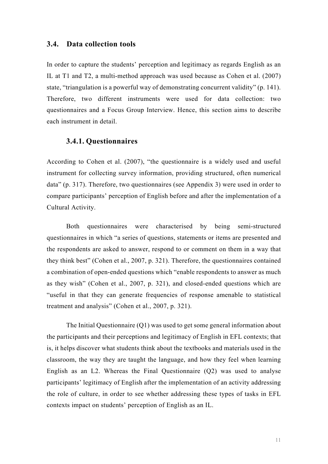#### **3.4. Data collection tools**

In order to capture the students' perception and legitimacy as regards English as an IL at T1 and T2, a multi-method approach was used because as Cohen et al. (2007) state, "triangulation is a powerful way of demonstrating concurrent validity" (p. 141). Therefore, two different instruments were used for data collection: two questionnaires and a Focus Group Interview. Hence, this section aims to describe each instrument in detail.

#### **3.4.1. Questionnaires**

According to Cohen et al. (2007), "the questionnaire is a widely used and useful instrument for collecting survey information, providing structured, often numerical data" (p. 317). Therefore, two questionnaires (see Appendix 3) were used in order to compare participants' perception of English before and after the implementation of a Cultural Activity.

Both questionnaires were characterised by being semi-structured questionnaires in which "a series of questions, statements or items are presented and the respondents are asked to answer, respond to or comment on them in a way that they think best" (Cohen et al., 2007, p. 321). Therefore, the questionnaires contained a combination of open-ended questions which "enable respondents to answer as much as they wish" (Cohen et al., 2007, p. 321), and closed-ended questions which are "useful in that they can generate frequencies of response amenable to statistical treatment and analysis" (Cohen et al., 2007, p. 321).

The Initial Questionnaire (Q1) was used to get some general information about the participants and their perceptions and legitimacy of English in EFL contexts; that is, it helps discover what students think about the textbooks and materials used in the classroom, the way they are taught the language, and how they feel when learning English as an L2. Whereas the Final Questionnaire (Q2) was used to analyse participants' legitimacy of English after the implementation of an activity addressing the role of culture, in order to see whether addressing these types of tasks in EFL contexts impact on students' perception of English as an IL.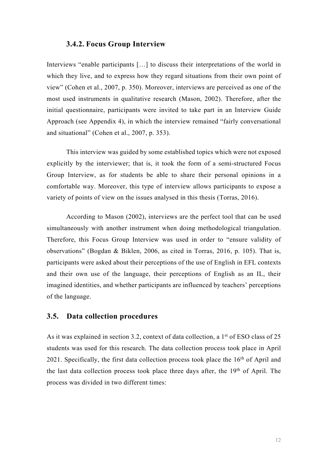#### **3.4.2. Focus Group Interview**

Interviews "enable participants […] to discuss their interpretations of the world in which they live, and to express how they regard situations from their own point of view" (Cohen et al., 2007, p. 350). Moreover, interviews are perceived as one of the most used instruments in qualitative research (Mason, 2002). Therefore, after the initial questionnaire, participants were invited to take part in an Interview Guide Approach (see Appendix 4), in which the interview remained "fairly conversational and situational" (Cohen et al., 2007, p. 353).

This interview was guided by some established topics which were not exposed explicitly by the interviewer; that is, it took the form of a semi-structured Focus Group Interview, as for students be able to share their personal opinions in a comfortable way. Moreover, this type of interview allows participants to expose a variety of points of view on the issues analysed in this thesis (Torras, 2016).

According to Mason (2002), interviews are the perfect tool that can be used simultaneously with another instrument when doing methodological triangulation. Therefore, this Focus Group Interview was used in order to "ensure validity of observations" (Bogdan & Biklen, 2006, as cited in Torras, 2016, p. 105). That is, participants were asked about their perceptions of the use of English in EFL contexts and their own use of the language, their perceptions of English as an IL, their imagined identities, and whether participants are influenced by teachers' perceptions of the language.

#### **3.5. Data collection procedures**

As it was explained in section 3.2, context of data collection, a 1<sup>st</sup> of ESO class of 25 students was used for this research. The data collection process took place in April 2021. Specifically, the first data collection process took place the 16<sup>th</sup> of April and the last data collection process took place three days after, the 19th of April. The process was divided in two different times: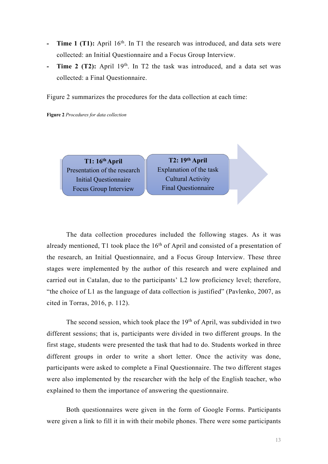- **Time 1 (T1):** April 16<sup>th</sup>. In T1 the research was introduced, and data sets were collected: an Initial Questionnaire and a Focus Group Interview.
- **Time 2 (T2):** April 19<sup>th</sup>. In T2 the task was introduced, and a data set was collected: a Final Questionnaire.

Figure 2 summarizes the procedures for the data collection at each time:

**Figure 2** *Procedures for data collection* 

**T1: 16th April**  Presentation of the research Initial Questionnaire Focus Group Interview

**T2: 19th April** Explanation of the task Cultural Activity Final Questionnaire

The data collection procedures included the following stages. As it was already mentioned, T1 took place the  $16<sup>th</sup>$  of April and consisted of a presentation of the research, an Initial Questionnaire, and a Focus Group Interview. These three stages were implemented by the author of this research and were explained and carried out in Catalan, due to the participants' L2 low proficiency level; therefore, "the choice of L1 as the language of data collection is justified" (Pavlenko, 2007, as cited in Torras, 2016, p. 112).

The second session, which took place the 19<sup>th</sup> of April, was subdivided in two different sessions; that is, participants were divided in two different groups. In the first stage, students were presented the task that had to do. Students worked in three different groups in order to write a short letter. Once the activity was done, participants were asked to complete a Final Questionnaire. The two different stages were also implemented by the researcher with the help of the English teacher, who explained to them the importance of answering the questionnaire.

Both questionnaires were given in the form of Google Forms. Participants were given a link to fill it in with their mobile phones. There were some participants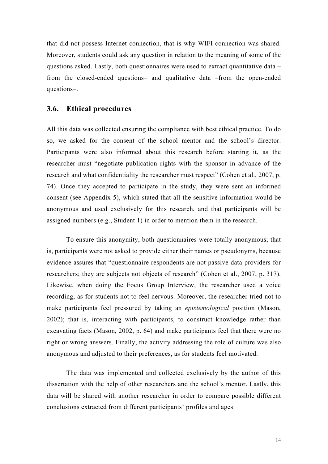that did not possess Internet connection, that is why WIFI connection was shared. Moreover, students could ask any question in relation to the meaning of some of the questions asked. Lastly, both questionnaires were used to extract quantitative data – from the closed-ended questions– and qualitative data –from the open-ended questions–.

#### **3.6. Ethical procedures**

All this data was collected ensuring the compliance with best ethical practice. To do so, we asked for the consent of the school mentor and the school's director. Participants were also informed about this research before starting it, as the researcher must "negotiate publication rights with the sponsor in advance of the research and what confidentiality the researcher must respect" (Cohen et al., 2007, p. 74). Once they accepted to participate in the study, they were sent an informed consent (see Appendix 5), which stated that all the sensitive information would be anonymous and used exclusively for this research, and that participants will be assigned numbers (e.g., Student 1) in order to mention them in the research.

To ensure this anonymity, both questionnaires were totally anonymous; that is, participants were not asked to provide either their names or pseudonyms, because evidence assures that "questionnaire respondents are not passive data providers for researchers; they are subjects not objects of research" (Cohen et al., 2007, p. 317). Likewise, when doing the Focus Group Interview, the researcher used a voice recording, as for students not to feel nervous. Moreover, the researcher tried not to make participants feel pressured by taking an *epistemological* position (Mason, 2002); that is, interacting with participants, to construct knowledge rather than excavating facts (Mason, 2002, p. 64) and make participants feel that there were no right or wrong answers. Finally, the activity addressing the role of culture was also anonymous and adjusted to their preferences, as for students feel motivated.

The data was implemented and collected exclusively by the author of this dissertation with the help of other researchers and the school's mentor. Lastly, this data will be shared with another researcher in order to compare possible different conclusions extracted from different participants' profiles and ages.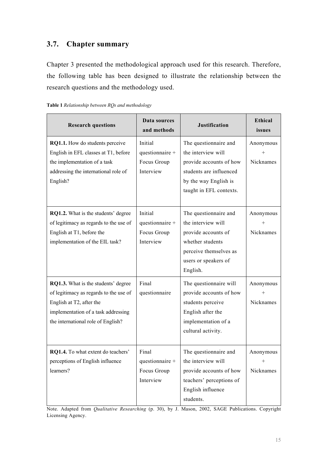# **3.7. Chapter summary**

Chapter 3 presented the methodological approach used for this research. Therefore, the following table has been designed to illustrate the relationship between the research questions and the methodology used.

|  |  |  | Table 1 Relationship between RQs and methodology |
|--|--|--|--------------------------------------------------|
|--|--|--|--------------------------------------------------|

| <b>Research questions</b>              | Data sources<br>and methods | <b>Justification</b>     | <b>Ethical</b><br>issues |
|----------------------------------------|-----------------------------|--------------------------|--------------------------|
| RQ1.1. How do students perceive        | Initial                     | The questionnaire and    | Anonymous                |
| English in EFL classes at T1, before   | questionnaire +             | the interview will       | $^{+}$                   |
| the implementation of a task           | Focus Group                 | provide accounts of how  | Nicknames                |
| addressing the international role of   | Interview                   | students are influenced  |                          |
| English?                               |                             | by the way English is    |                          |
|                                        |                             | taught in EFL contexts.  |                          |
|                                        |                             |                          |                          |
| RQ1.2. What is the students' degree    | Initial                     | The questionnaire and    | Anonymous                |
| of legitimacy as regards to the use of | questionnaire +             | the interview will       |                          |
| English at T1, before the              | Focus Group                 | provide accounts of      | Nicknames                |
| implementation of the EIL task?        | Interview                   | whether students         |                          |
|                                        |                             | perceive themselves as   |                          |
|                                        |                             | users or speakers of     |                          |
|                                        |                             | English.                 |                          |
| RQ1.3. What is the students' degree    | Final                       | The questionnaire will   | Anonymous                |
| of legitimacy as regards to the use of | questionnaire               | provide accounts of how  |                          |
| English at T2, after the               |                             | students perceive        | Nicknames                |
| implementation of a task addressing    |                             | English after the        |                          |
| the international role of English?     |                             | implementation of a      |                          |
|                                        |                             | cultural activity.       |                          |
|                                        |                             |                          |                          |
| RQ1.4. To what extent do teachers'     | Final                       | The questionnaire and    | Anonymous                |
| perceptions of English influence       | questionnaire +             | the interview will       |                          |
| learners?                              | Focus Group                 | provide accounts of how  | Nicknames                |
|                                        | Interview                   | teachers' perceptions of |                          |
|                                        |                             | English influence        |                          |
|                                        |                             | students.                |                          |

Note. Adapted from *Qualitative Researching* (p. 30), by J. Mason, 2002, SAGE Publications. Copyright Licensing Agency.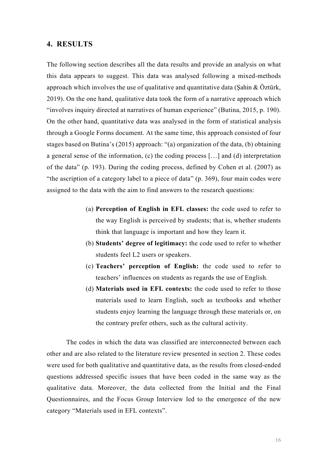#### **4. RESULTS**

The following section describes all the data results and provide an analysis on what this data appears to suggest. This data was analysed following a mixed-methods approach which involves the use of qualitative and quantitative data (Şahin  $& Öztürk$ , 2019). On the one hand, qualitative data took the form of a narrative approach which "involves inquiry directed at narratives of human experience" (Butina, 2015, p. 190). On the other hand, quantitative data was analysed in the form of statistical analysis through a Google Forms document. At the same time, this approach consisted of four stages based on Butina's (2015) approach: "(a) organization of the data, (b) obtaining a general sense of the information, (c) the coding process […] and (d) interpretation of the data" (p. 193). During the coding process, defined by Cohen et al. (2007) as "the ascription of a category label to a piece of data" (p. 369), four main codes were assigned to the data with the aim to find answers to the research questions:

- (a) **Perception of English in EFL classes:** the code used to refer to the way English is perceived by students; that is, whether students think that language is important and how they learn it.
- (b) **Students' degree of legitimacy:** the code used to refer to whether students feel L2 users or speakers.
- (c) **Teachers' perception of English:** the code used to refer to teachers' influences on students as regards the use of English.
- (d) **Materials used in EFL contexts:** the code used to refer to those materials used to learn English, such as textbooks and whether students enjoy learning the language through these materials or, on the contrary prefer others, such as the cultural activity.

The codes in which the data was classified are interconnected between each other and are also related to the literature review presented in section 2. These codes were used for both qualitative and quantitative data, as the results from closed-ended questions addressed specific issues that have been coded in the same way as the qualitative data. Moreover, the data collected from the Initial and the Final Questionnaires, and the Focus Group Interview led to the emergence of the new category "Materials used in EFL contexts".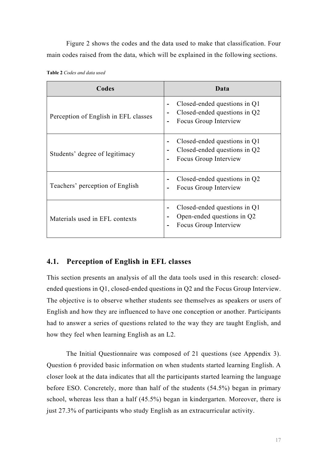Figure 2 shows the codes and the data used to make that classification. Four main codes raised from the data, which will be explained in the following sections.

| <b>Table 2</b> Codes and data used |               |  |
|------------------------------------|---------------|--|
|                                    | $\Gamma$ adaa |  |

| Codes                                | Data                                                                                                    |
|--------------------------------------|---------------------------------------------------------------------------------------------------------|
| Perception of English in EFL classes | Closed-ended questions in Q1<br>Closed-ended questions in Q2<br>Focus Group Interview<br>$\overline{a}$ |
| Students' degree of legitimacy       | Closed-ended questions in Q1<br>Closed-ended questions in Q2<br>Focus Group Interview                   |
| Teachers' perception of English      | Closed-ended questions in Q2<br>Focus Group Interview                                                   |
| Materials used in EFL contexts       | Closed-ended questions in Q1<br>Open-ended questions in Q2<br>Focus Group Interview                     |

# **4.1. Perception of English in EFL classes**

This section presents an analysis of all the data tools used in this research: closedended questions in Q1, closed-ended questions in Q2 and the Focus Group Interview. The objective is to observe whether students see themselves as speakers or users of English and how they are influenced to have one conception or another. Participants had to answer a series of questions related to the way they are taught English, and how they feel when learning English as an L2.

The Initial Questionnaire was composed of 21 questions (see Appendix 3). Question 6 provided basic information on when students started learning English. A closer look at the data indicates that all the participants started learning the language before ESO. Concretely, more than half of the students (54.5%) began in primary school, whereas less than a half (45.5%) began in kindergarten. Moreover, there is just 27.3% of participants who study English as an extracurricular activity.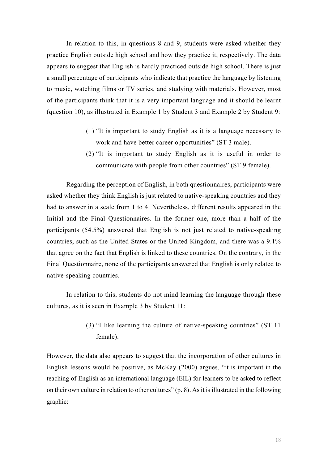In relation to this, in questions 8 and 9, students were asked whether they practice English outside high school and how they practice it, respectively. The data appears to suggest that English is hardly practiced outside high school. There is just a small percentage of participants who indicate that practice the language by listening to music, watching films or TV series, and studying with materials. However, most of the participants think that it is a very important language and it should be learnt (question 10), as illustrated in Example 1 by Student 3 and Example 2 by Student 9:

- (1) "It is important to study English as it is a language necessary to work and have better career opportunities" (ST 3 male).
- (2) "It is important to study English as it is useful in order to communicate with people from other countries" (ST 9 female).

Regarding the perception of English, in both questionnaires, participants were asked whether they think English is just related to native-speaking countries and they had to answer in a scale from 1 to 4. Nevertheless, different results appeared in the Initial and the Final Questionnaires. In the former one, more than a half of the participants (54.5%) answered that English is not just related to native-speaking countries, such as the United States or the United Kingdom, and there was a 9.1% that agree on the fact that English is linked to these countries. On the contrary, in the Final Questionnaire, none of the participants answered that English is only related to native-speaking countries.

In relation to this, students do not mind learning the language through these cultures, as it is seen in Example 3 by Student 11:

> (3) "I like learning the culture of native-speaking countries" (ST 11 female).

However, the data also appears to suggest that the incorporation of other cultures in English lessons would be positive, as McKay (2000) argues, "it is important in the teaching of English as an international language (EIL) for learners to be asked to reflect on their own culture in relation to other cultures" (p. 8). As it is illustrated in the following graphic: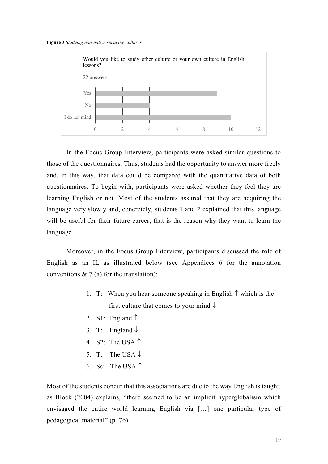



In the Focus Group Interview, participants were asked similar questions to those of the questionnaires. Thus, students had the opportunity to answer more freely and, in this way, that data could be compared with the quantitative data of both questionnaires. To begin with, participants were asked whether they feel they are learning English or not. Most of the students assured that they are acquiring the language very slowly and, concretely, students 1 and 2 explained that this language will be useful for their future career, that is the reason why they want to learn the language.

Moreover, in the Focus Group Interview, participants discussed the role of English as an IL as illustrated below (see Appendices 6 for the annotation conventions  $\& 7$  (a) for the translation):

- 1. T: When you hear someone speaking in English  $\uparrow$  which is the first culture that comes to your mind  $\downarrow$
- 2. S1: England  $\uparrow$
- 3. T: England  $\downarrow$
- 4. S2: The USA  $\uparrow$
- 5. T: The USA  $\downarrow$
- 6. Ss: The USA  $\uparrow$

Most of the students concur that this associations are due to the way English is taught, as Block (2004) explains, "there seemed to be an implicit hyperglobalism which envisaged the entire world learning English via […] one particular type of pedagogical material" (p. 76).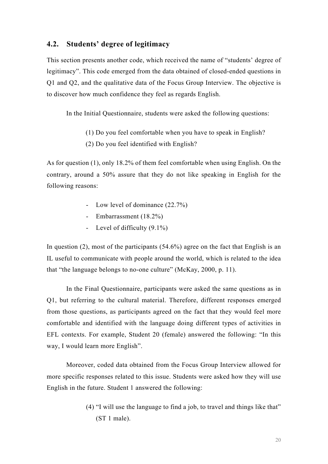#### **4.2. Students' degree of legitimacy**

This section presents another code, which received the name of "students' degree of legitimacy". This code emerged from the data obtained of closed-ended questions in Q1 and Q2, and the qualitative data of the Focus Group Interview. The objective is to discover how much confidence they feel as regards English.

In the Initial Questionnaire, students were asked the following questions:

- (1) Do you feel comfortable when you have to speak in English?
- (2) Do you feel identified with English?

As for question (1), only 18.2% of them feel comfortable when using English. On the contrary, around a 50% assure that they do not like speaking in English for the following reasons:

- Low level of dominance (22.7%)
- Embarrassment (18.2%)
- Level of difficulty (9.1%)

In question (2), most of the participants (54.6%) agree on the fact that English is an IL useful to communicate with people around the world, which is related to the idea that "the language belongs to no-one culture" (McKay, 2000, p. 11).

In the Final Questionnaire, participants were asked the same questions as in Q1, but referring to the cultural material. Therefore, different responses emerged from those questions, as participants agreed on the fact that they would feel more comfortable and identified with the language doing different types of activities in EFL contexts. For example, Student 20 (female) answered the following: "In this way, I would learn more English".

Moreover, coded data obtained from the Focus Group Interview allowed for more specific responses related to this issue. Students were asked how they will use English in the future. Student 1 answered the following:

> (4) "I will use the language to find a job, to travel and things like that" (ST 1 male).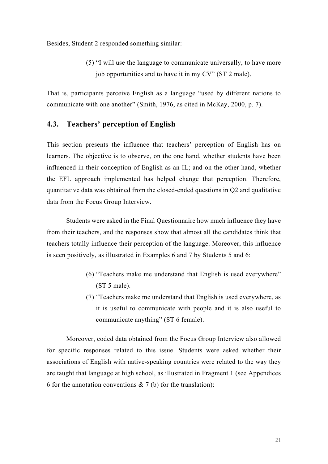Besides, Student 2 responded something similar:

(5) "I will use the language to communicate universally, to have more job opportunities and to have it in my CV" (ST 2 male).

That is, participants perceive English as a language "used by different nations to communicate with one another" (Smith, 1976, as cited in McKay, 2000, p. 7).

#### **4.3. Teachers' perception of English**

This section presents the influence that teachers' perception of English has on learners. The objective is to observe, on the one hand, whether students have been influenced in their conception of English as an IL; and on the other hand, whether the EFL approach implemented has helped change that perception. Therefore, quantitative data was obtained from the closed-ended questions in Q2 and qualitative data from the Focus Group Interview.

Students were asked in the Final Questionnaire how much influence they have from their teachers, and the responses show that almost all the candidates think that teachers totally influence their perception of the language. Moreover, this influence is seen positively, as illustrated in Examples 6 and 7 by Students 5 and 6:

- (6) "Teachers make me understand that English is used everywhere" (ST 5 male).
- (7) "Teachers make me understand that English is used everywhere, as it is useful to communicate with people and it is also useful to communicate anything" (ST 6 female).

Moreover, coded data obtained from the Focus Group Interview also allowed for specific responses related to this issue. Students were asked whether their associations of English with native-speaking countries were related to the way they are taught that language at high school, as illustrated in Fragment 1 (see Appendices 6 for the annotation conventions  $\& 7$  (b) for the translation):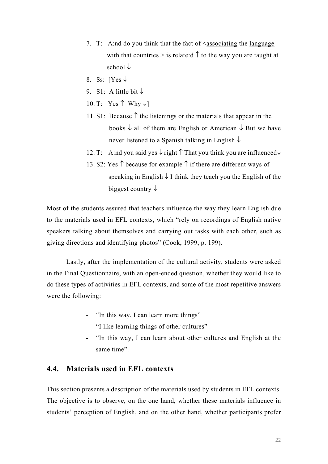- 7. T: A:nd do you think that the fact of  $\leq$  associating the language with that countries  $>$  is relate:d  $\uparrow$  to the way you are taught at school  $\downarrow$
- 8. Ss:  $\lceil \text{Yes} \downarrow \rceil$
- 9. S1: A little bit  $\downarrow$
- 10. T: Yes  $\uparrow$  Why  $\downarrow$ ]
- 11. S1: Because  $\uparrow$  the listenings or the materials that appear in the books  $\downarrow$  all of them are English or American  $\downarrow$  But we have never listened to a Spanish talking in English  $\downarrow$
- 12. T: A:nd you said yes  $\downarrow$  right  $\uparrow$  That you think you are influenced $\downarrow$
- 13. S2: Yes  $\uparrow$  because for example  $\uparrow$  if there are different ways of speaking in English  $\downarrow$  I think they teach you the English of the biggest country  $\downarrow$

Most of the students assured that teachers influence the way they learn English due to the materials used in EFL contexts, which "rely on recordings of English native speakers talking about themselves and carrying out tasks with each other, such as giving directions and identifying photos" (Cook, 1999, p. 199).

Lastly, after the implementation of the cultural activity, students were asked in the Final Questionnaire, with an open-ended question, whether they would like to do these types of activities in EFL contexts, and some of the most repetitive answers were the following:

- "In this way, I can learn more things"
- "I like learning things of other cultures"
- "In this way, I can learn about other cultures and English at the same time".

#### **4.4. Materials used in EFL contexts**

This section presents a description of the materials used by students in EFL contexts. The objective is to observe, on the one hand, whether these materials influence in students' perception of English, and on the other hand, whether participants prefer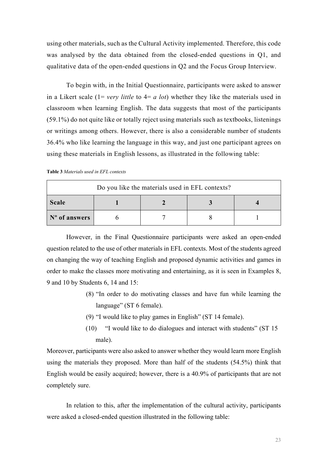using other materials, such as the Cultural Activity implemented. Therefore, this code was analysed by the data obtained from the closed-ended questions in Q1, and qualitative data of the open-ended questions in Q2 and the Focus Group Interview.

To begin with, in the Initial Questionnaire, participants were asked to answer in a Likert scale (1= *very little* to 4= *a lot*) whether they like the materials used in classroom when learning English. The data suggests that most of the participants (59.1%) do not quite like or totally reject using materials such as textbooks, listenings or writings among others. However, there is also a considerable number of students 36.4% who like learning the language in this way, and just one participant agrees on using these materials in English lessons, as illustrated in the following table:

|  | <b>Table 3</b> Materials used in EFL contexts |  |  |  |
|--|-----------------------------------------------|--|--|--|
|--|-----------------------------------------------|--|--|--|

| Do you like the materials used in EFL contexts? |  |  |  |  |
|-------------------------------------------------|--|--|--|--|
| Scale                                           |  |  |  |  |
| $\mathbf{N}^{\mathbf{o}}$ of answers            |  |  |  |  |

However, in the Final Questionnaire participants were asked an open-ended question related to the use of other materials in EFL contexts. Most of the students agreed on changing the way of teaching English and proposed dynamic activities and games in order to make the classes more motivating and entertaining, as it is seen in Examples 8, 9 and 10 by Students 6, 14 and 15:

- (8) "In order to do motivating classes and have fun while learning the language" (ST 6 female).
- (9) "I would like to play games in English" (ST 14 female).
- (10) "I would like to do dialogues and interact with students" (ST 15 male).

Moreover, participants were also asked to answer whether they would learn more English using the materials they proposed. More than half of the students (54.5%) think that English would be easily acquired; however, there is a 40.9% of participants that are not completely sure.

In relation to this, after the implementation of the cultural activity, participants were asked a closed-ended question illustrated in the following table: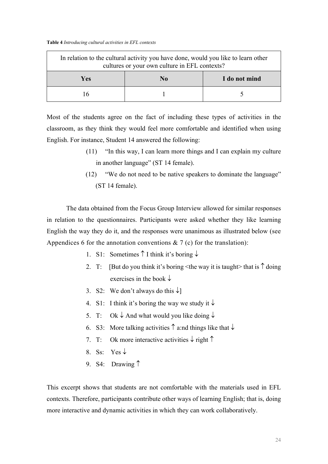**Table 4** *Introducing cultural activities in EFL contexts* 

| In relation to the cultural activity you have done, would you like to learn other<br>cultures or your own culture in EFL contexts? |  |  |  |  |
|------------------------------------------------------------------------------------------------------------------------------------|--|--|--|--|
| Yes<br>I do not mind<br>No                                                                                                         |  |  |  |  |
| 16                                                                                                                                 |  |  |  |  |

Most of the students agree on the fact of including these types of activities in the classroom, as they think they would feel more comfortable and identified when using English. For instance, Student 14 answered the following:

- (11) "In this way, I can learn more things and I can explain my culture in another language" (ST 14 female).
- (12) "We do not need to be native speakers to dominate the language" (ST 14 female).

The data obtained from the Focus Group Interview allowed for similar responses in relation to the questionnaires. Participants were asked whether they like learning English the way they do it, and the responses were unanimous as illustrated below (see Appendices 6 for the annotation conventions  $\& 7$  (c) for the translation):

- 1. S1: Sometimes  $\uparrow$  I think it's boring  $\downarrow$
- 2. T: [But do you think it's boring  $\leq$  the way it is taught hat is  $\uparrow$  doing exercises in the book  $\downarrow$
- 3. S2: We don't always do this  $\downarrow$ ]
- 4. S1: I think it's boring the way we study it  $\downarrow$
- 5. T: Ok  $\downarrow$  And what would you like doing  $\downarrow$
- 6. S3: More talking activities  $\uparrow$  a:nd things like that  $\downarrow$
- 7. T: Ok more interactive activities  $\downarrow$  right  $\uparrow$
- 8. Ss: Yes  $\downarrow$
- 9. S4: Drawing  $\uparrow$

This excerpt shows that students are not comfortable with the materials used in EFL contexts. Therefore, participants contribute other ways of learning English; that is, doing more interactive and dynamic activities in which they can work collaboratively.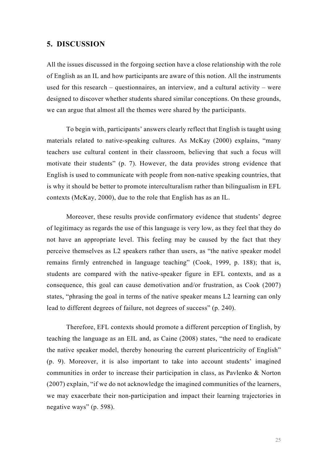#### **5. DISCUSSION**

All the issues discussed in the forgoing section have a close relationship with the role of English as an IL and how participants are aware of this notion. All the instruments used for this research – questionnaires, an interview, and a cultural activity – were designed to discover whether students shared similar conceptions. On these grounds, we can argue that almost all the themes were shared by the participants.

To begin with, participants' answers clearly reflect that English is taught using materials related to native-speaking cultures. As McKay (2000) explains, "many teachers use cultural content in their classroom, believing that such a focus will motivate their students" (p. 7). However, the data provides strong evidence that English is used to communicate with people from non-native speaking countries, that is why it should be better to promote interculturalism rather than bilingualism in EFL contexts (McKay, 2000), due to the role that English has as an IL.

Moreover, these results provide confirmatory evidence that students' degree of legitimacy as regards the use of this language is very low, as they feel that they do not have an appropriate level. This feeling may be caused by the fact that they perceive themselves as L2 speakers rather than users, as "the native speaker model remains firmly entrenched in language teaching" (Cook, 1999, p. 188); that is, students are compared with the native-speaker figure in EFL contexts, and as a consequence, this goal can cause demotivation and/or frustration, as Cook (2007) states, "phrasing the goal in terms of the native speaker means L2 learning can only lead to different degrees of failure, not degrees of success" (p. 240).

Therefore, EFL contexts should promote a different perception of English, by teaching the language as an EIL and, as Caine (2008) states, "the need to eradicate the native speaker model, thereby honouring the current pluricentricity of English" (p. 9). Moreover, it is also important to take into account students' imagined communities in order to increase their participation in class, as Pavlenko & Norton (2007) explain, "if we do not acknowledge the imagined communities of the learners, we may exacerbate their non-participation and impact their learning trajectories in negative ways" (p. 598).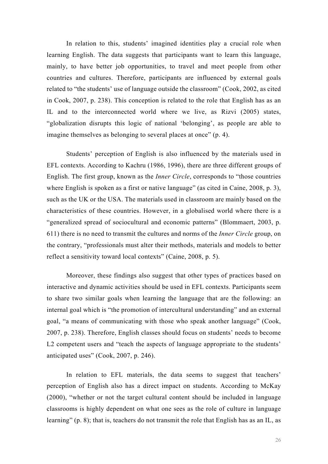In relation to this, students' imagined identities play a crucial role when learning English. The data suggests that participants want to learn this language, mainly, to have better job opportunities, to travel and meet people from other countries and cultures. Therefore, participants are influenced by external goals related to "the students' use of language outside the classroom" (Cook, 2002, as cited in Cook, 2007, p. 238). This conception is related to the role that English has as an IL and to the interconnected world where we live, as Rizvi (2005) states, "globalization disrupts this logic of national 'belonging', as people are able to imagine themselves as belonging to several places at once" (p. 4).

Students' perception of English is also influenced by the materials used in EFL contexts. According to Kachru (1986, 1996), there are three different groups of English. The first group, known as the *Inner Circle*, corresponds to "those countries where English is spoken as a first or native language" (as cited in Caine, 2008, p. 3), such as the UK or the USA. The materials used in classroom are mainly based on the characteristics of these countries. However, in a globalised world where there is a "generalized spread of sociocultural and economic patterns" (Blommaert, 2003, p. 611) there is no need to transmit the cultures and norms of the *Inner Circle* group, on the contrary, "professionals must alter their methods, materials and models to better reflect a sensitivity toward local contexts" (Caine, 2008, p. 5).

Moreover, these findings also suggest that other types of practices based on interactive and dynamic activities should be used in EFL contexts. Participants seem to share two similar goals when learning the language that are the following: an internal goal which is "the promotion of intercultural understanding" and an external goal, "a means of communicating with those who speak another language" (Cook, 2007, p. 238). Therefore, English classes should focus on students' needs to become L2 competent users and "teach the aspects of language appropriate to the students' anticipated uses" (Cook, 2007, p. 246).

In relation to EFL materials, the data seems to suggest that teachers' perception of English also has a direct impact on students. According to McKay (2000), "whether or not the target cultural content should be included in language classrooms is highly dependent on what one sees as the role of culture in language learning" (p. 8); that is, teachers do not transmit the role that English has as an IL, as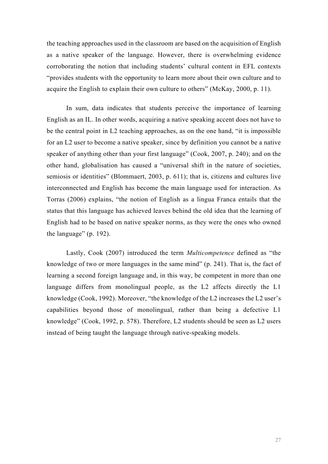the teaching approaches used in the classroom are based on the acquisition of English as a native speaker of the language. However, there is overwhelming evidence corroborating the notion that including students' cultural content in EFL contexts "provides students with the opportunity to learn more about their own culture and to acquire the English to explain their own culture to others" (McKay, 2000, p. 11).

In sum, data indicates that students perceive the importance of learning English as an IL. In other words, acquiring a native speaking accent does not have to be the central point in L2 teaching approaches, as on the one hand, "it is impossible for an L2 user to become a native speaker, since by definition you cannot be a native speaker of anything other than your first language" (Cook, 2007, p. 240); and on the other hand, globalisation has caused a "universal shift in the nature of societies, semiosis or identities" (Blommaert, 2003, p. 611); that is, citizens and cultures live interconnected and English has become the main language used for interaction. As Torras (2006) explains, "the notion of English as a lingua Franca entails that the status that this language has achieved leaves behind the old idea that the learning of English had to be based on native speaker norms, as they were the ones who owned the language" (p. 192).

Lastly, Cook (2007) introduced the term *Multicompetence* defined as "the knowledge of two or more languages in the same mind" (p. 241). That is, the fact of learning a second foreign language and, in this way, be competent in more than one language differs from monolingual people, as the L2 affects directly the L1 knowledge (Cook, 1992). Moreover, "the knowledge of the L2 increases the L2 user's capabilities beyond those of monolingual, rather than being a defective L1 knowledge" (Cook, 1992, p. 578). Therefore, L2 students should be seen as L2 users instead of being taught the language through native-speaking models.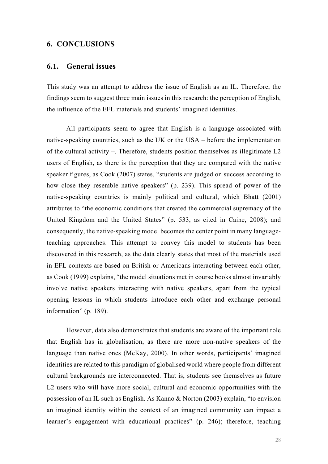#### **6. CONCLUSIONS**

#### **6.1. General issues**

This study was an attempt to address the issue of English as an IL. Therefore, the findings seem to suggest three main issues in this research: the perception of English, the influence of the EFL materials and students' imagined identities.

All participants seem to agree that English is a language associated with native-speaking countries, such as the UK or the USA – before the implementation of the cultural activity –. Therefore, students position themselves as illegitimate L2 users of English, as there is the perception that they are compared with the native speaker figures, as Cook (2007) states, "students are judged on success according to how close they resemble native speakers" (p. 239). This spread of power of the native-speaking countries is mainly political and cultural, which Bhatt (2001) attributes to "the economic conditions that created the commercial supremacy of the United Kingdom and the United States" (p. 533, as cited in Caine, 2008); and consequently, the native-speaking model becomes the center point in many languageteaching approaches. This attempt to convey this model to students has been discovered in this research, as the data clearly states that most of the materials used in EFL contexts are based on British or Americans interacting between each other, as Cook (1999) explains, "the model situations met in course books almost invariably involve native speakers interacting with native speakers, apart from the typical opening lessons in which students introduce each other and exchange personal information" (p. 189).

However, data also demonstrates that students are aware of the important role that English has in globalisation, as there are more non-native speakers of the language than native ones (McKay, 2000). In other words, participants' imagined identities are related to this paradigm of globalised world where people from different cultural backgrounds are interconnected. That is, students see themselves as future L2 users who will have more social, cultural and economic opportunities with the possession of an IL such as English. As Kanno & Norton (2003) explain, "to envision an imagined identity within the context of an imagined community can impact a learner's engagement with educational practices" (p. 246); therefore, teaching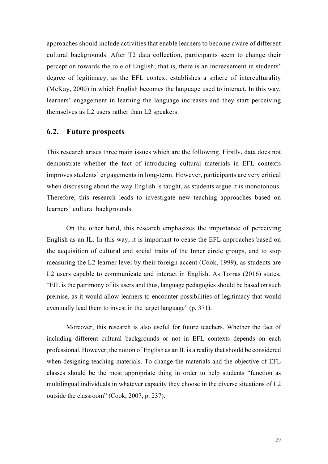approaches should include activities that enable learners to become aware of different cultural backgrounds. After T2 data collection, participants seem to change their perception towards the role of English; that is, there is an increasement in students' degree of legitimacy, as the EFL context establishes a sphere of interculturality (McKay, 2000) in which English becomes the language used to interact. In this way, learners' engagement in learning the language increases and they start perceiving themselves as L2 users rather than L2 speakers.

#### **6.2. Future prospects**

This research arises three main issues which are the following. Firstly, data does not demonstrate whether the fact of introducing cultural materials in EFL contexts improves students' engagements in long-term. However, participants are very critical when discussing about the way English is taught, as students argue it is monotonous. Therefore, this research leads to investigate new teaching approaches based on learners' cultural backgrounds.

On the other hand, this research emphasizes the importance of perceiving English as an IL. In this way, it is important to cease the EFL approaches based on the acquisition of cultural and social traits of the Inner circle groups, and to stop measuring the L2 learner level by their foreign accent (Cook, 1999), as students are L2 users capable to communicate and interact in English. As Torras (2016) states, "EIL is the patrimony of its users and thus, language pedagogies should be based on such premise, as it would allow learners to encounter possibilities of legitimacy that would eventually lead them to invest in the target language" (p. 371).

Moreover, this research is also useful for future teachers. Whether the fact of including different cultural backgrounds or not in EFL contexts depends on each professional. However, the notion of English as an IL is a reality that should be considered when designing teaching materials. To change the materials and the objective of EFL classes should be the most appropriate thing in order to help students "function as multilingual individuals in whatever capacity they choose in the diverse situations of L2 outside the classroom" (Cook, 2007, p. 237).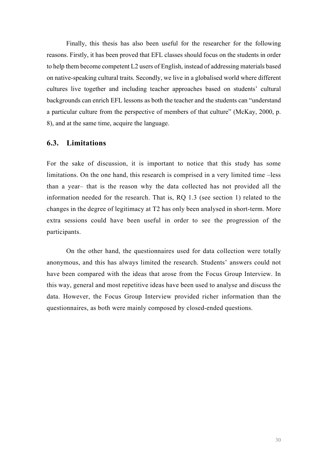Finally, this thesis has also been useful for the researcher for the following reasons. Firstly, it has been proved that EFL classes should focus on the students in order to help them become competent L2 users of English, instead of addressing materials based on native-speaking cultural traits. Secondly, we live in a globalised world where different cultures live together and including teacher approaches based on students' cultural backgrounds can enrich EFL lessons as both the teacher and the students can "understand a particular culture from the perspective of members of that culture" (McKay, 2000, p. 8), and at the same time, acquire the language.

#### **6.3. Limitations**

For the sake of discussion, it is important to notice that this study has some limitations. On the one hand, this research is comprised in a very limited time –less than a year– that is the reason why the data collected has not provided all the information needed for the research. That is, RQ 1.3 (see section 1) related to the changes in the degree of legitimacy at T2 has only been analysed in short-term. More extra sessions could have been useful in order to see the progression of the participants.

On the other hand, the questionnaires used for data collection were totally anonymous, and this has always limited the research. Students' answers could not have been compared with the ideas that arose from the Focus Group Interview. In this way, general and most repetitive ideas have been used to analyse and discuss the data. However, the Focus Group Interview provided richer information than the questionnaires, as both were mainly composed by closed-ended questions.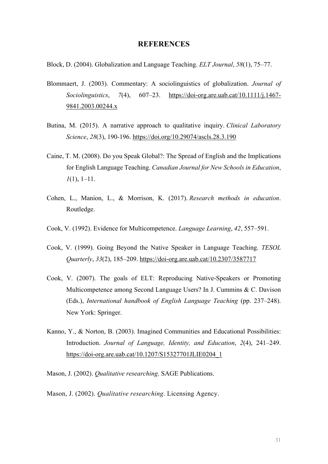#### **REFERENCES**

Block, D. (2004). Globalization and Language Teaching. *ELT Journal*, *58*(1), 75–77.

- Blommaert, J. (2003). Commentary: A sociolinguistics of globalization. *Journal of Sociolinguistics*, *7*(4), 607–23. https://doi-org.are.uab.cat/10.1111/j.1467- 9841.2003.00244.x
- Butina, M. (2015). A narrative approach to qualitative inquiry. *Clinical Laboratory Science*, *28*(3), 190-196. https://doi.org/10.29074/ascls.28.3.190
- Caine, T. M. (2008). Do you Speak Global?: The Spread of English and the Implications for English Language Teaching. *Canadian Journal for New Schools in Education*, *1*(1), 1–11.
- Cohen, L., Manion, L., & Morrison, K. (2017). *Research methods in education*. Routledge.
- Cook, V. (1992). Evidence for Multicompetence. *Language Learning*, *42*, 557–591.
- Cook, V. (1999). Going Beyond the Native Speaker in Language Teaching. *TESOL Quarterly*, *33*(2), 185–209. https://doi-org.are.uab.cat/10.2307/3587717
- Cook, V. (2007). The goals of ELT: Reproducing Native-Speakers or Promoting Multicompetence among Second Language Users? In J. Cummins & C. Davison (Eds.), *International handbook of English Language Teaching* (pp. 237–248). New York: Springer.
- Kanno, Y., & Norton, B. (2003). Imagined Communities and Educational Possibilities: Introduction. *Journal of Language, Identity, and Education*, *2*(4), 241–249. https://doi-org.are.uab.cat/10.1207/S15327701JLIE0204\_1
- Mason, J. (2002). *Qualitative researching*. SAGE Publications.
- Mason, J. (2002). *Qualitative researching*. Licensing Agency.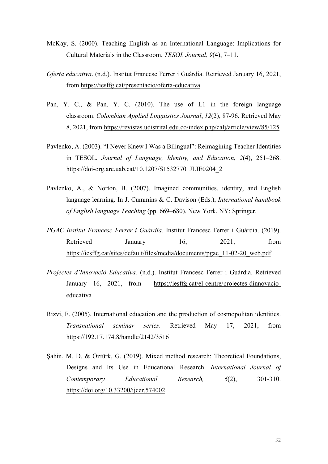- McKay, S. (2000). Teaching English as an International Language: Implications for Cultural Materials in the Classroom. *TESOL Journal*, *9*(4), 7–11.
- *Oferta educativa*. (n.d.). Institut Francesc Ferrer i Guàrdia. Retrieved January 16, 2021, from https://iesffg.cat/presentacio/oferta-educativa
- Pan, Y. C., & Pan, Y. C. (2010). The use of L1 in the foreign language classroom. *Colombian Applied Linguistics Journal*, *12*(2), 87-96. Retrieved May 8, 2021, from https://revistas.udistrital.edu.co/index.php/calj/article/view/85/125
- Pavlenko, A. (2003). "I Never Knew I Was a Bilingual": Reimagining Teacher Identities in TESOL. *Journal of Language, Identity, and Education*, *2*(4), 251–268. https://doi-org.are.uab.cat/10.1207/S15327701JLIE0204\_2
- Pavlenko, A., & Norton, B. (2007). Imagined communities, identity, and English language learning. In J. Cummins & C. Davison (Eds.), *International handbook of English language Teaching* (pp. 669–680). New York, NY: Springer.
- *PGAC Institut Francesc Ferrer i Guàrdia.* Institut Francesc Ferrer i Guàrdia. (2019). Retrieved January 16, 2021, from https://iesffg.cat/sites/default/files/media/documents/pgac\_11-02-20\_web.pdf
- *Projectes d'Innovació Educativa.* (n.d.). Institut Francesc Ferrer i Guàrdia. Retrieved January 16, 2021, from https://iesffg.cat/el-centre/projectes-dinnovacioeducativa
- Rizvi, F. (2005). International education and the production of cosmopolitan identities. *Transnational seminar series*. Retrieved May 17, 2021, from https://192.17.174.8/handle/2142/3516
- Şahin, M. D. & Öztürk, G. (2019). Mixed method research: Theoretical Foundations, Designs and Its Use in Educational Research. *International Journal of Contemporary Educational Research, 6*(2), 301-310. https://doi.org/10.33200/ijcer.574002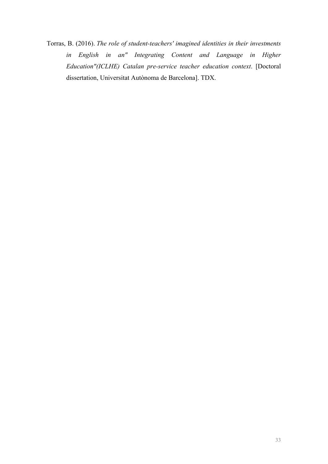Torras, B. (2016). *The role of student-teachers' imagined identities in their investments in English in an" Integrating Content and Language in Higher Education"(ICLHE) Catalan pre-service teacher education context*. [Doctoral dissertation, Universitat Autònoma de Barcelona]. TDX.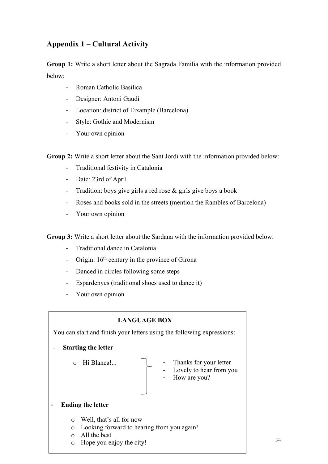# **Appendix 1 – Cultural Activity**

**Group 1:** Write a short letter about the Sagrada Familia with the information provided below:

- Roman Catholic Basilica
- Designer: Antoni Gaudí
- Location: district of Eixample (Barcelona)
- Style: Gothic and Modernism
- Your own opinion

**Group 2:** Write a short letter about the Sant Jordi with the information provided below:

- Traditional festivity in Catalonia
- Date: 23rd of April
- Tradition: boys give girls a red rose & girls give boys a book
- Roses and books sold in the streets (mention the Rambles of Barcelona)
- Your own opinion

**Group 3:** Write a short letter about the Sardana with the information provided below:

- Traditional dance in Catalonia
- Origin:  $16<sup>th</sup>$  century in the province of Girona
- Danced in circles following some steps
- Espardenyes (traditional shoes used to dance it)
- Your own opinion

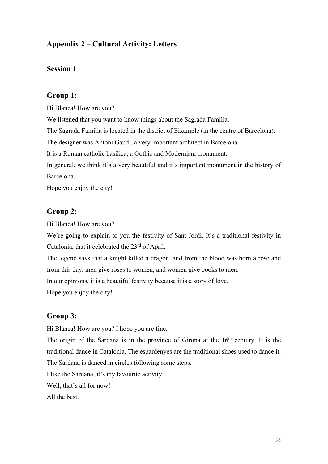# **Appendix 2 – Cultural Activity: Letters**

#### **Session 1**

#### **Group 1:**

Hi Blanca! How are you?

We listened that you want to know things about the Sagrada Familia.

The Sagrada Familia is located in the district of Eixample (in the centre of Barcelona).

The designer was Antoni Gaudí, a very important architect in Barcelona.

It is a Roman catholic basilica, a Gothic and Modernism monument.

In general, we think it's a very beautiful and it's important monument in the history of Barcelona.

Hope you enjoy the city!

#### **Group 2:**

Hi Blanca! How are you?

We're going to explain to you the festivity of Sant Jordi. It's a traditional festivity in Catalonia, that it celebrated the 23<sup>rd</sup> of April.

The legend says that a knight killed a dragon, and from the blood was born a rose and from this day, men give roses to women, and women give books to men.

In our opinions, it is a beautiful festivity because it is a story of love.

Hope you enjoy the city!

#### **Group 3:**

Hi Blanca! How are you? I hope you are fine.

The origin of the Sardana is in the province of Girona at the  $16<sup>th</sup>$  century. It is the traditional dance in Catalonia. The espardenyes are the traditional shoes used to dance it. The Sardana is danced in circles following some steps.

I like the Sardana, it's my favourite activity.

Well, that's all for now!

All the best.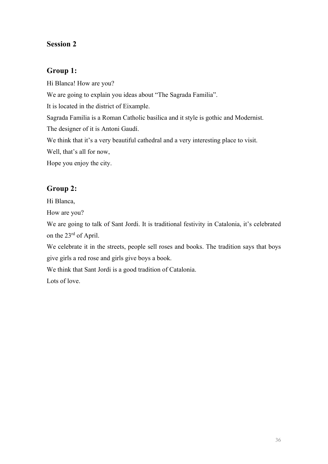# **Session 2**

### **Group 1:**

Hi Blanca! How are you? We are going to explain you ideas about "The Sagrada Familia". It is located in the district of Eixample. Sagrada Familia is a Roman Catholic basilica and it style is gothic and Modernist. The designer of it is Antoni Gaudí. We think that it's a very beautiful cathedral and a very interesting place to visit. Well, that's all for now, Hope you enjoy the city.

# **Group 2:**

Hi Blanca,

How are you?

We are going to talk of Sant Jordi. It is traditional festivity in Catalonia, it's celebrated on the 23rd of April.

We celebrate it in the streets, people sell roses and books. The tradition says that boys give girls a red rose and girls give boys a book.

We think that Sant Jordi is a good tradition of Catalonia.

Lots of love.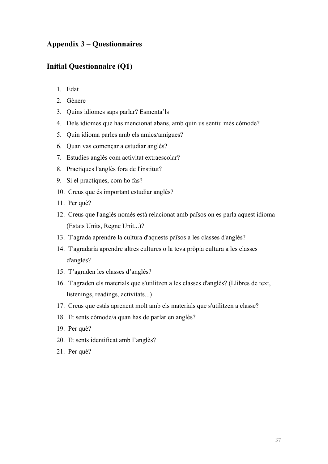# **Appendix 3 – Questionnaires**

### **Initial Questionnaire (Q1)**

- 1. Edat
- 2. Gènere
- 3. Quins idiomes saps parlar? Esmenta'ls
- 4. Dels idiomes que has mencionat abans, amb quin us sentiu més còmode?
- 5. Quin idioma parles amb els amics/amigues?
- 6. Quan vas començar a estudiar anglès?
- 7. Estudies anglès com activitat extraescolar?
- 8. Practiques l'anglès fora de l'institut?
- 9. Si el practiques, com ho fas?
- 10. Creus que és important estudiar anglès?
- 11. Per què?
- 12. Creus que l'anglès només està relacionat amb països on es parla aquest idioma (Estats Units, Regne Unit...)?
- 13. T'agrada aprendre la cultura d'aquests països a les classes d'anglès?
- 14. T'agradaria aprendre altres cultures o la teva pròpia cultura a les classes d'anglès?
- 15. T'agraden les classes d'anglès?
- 16. T'agraden els materials que s'utilitzen a les classes d'anglès? (Llibres de text, listenings, readings, activitats...)
- 17. Creus que estàs aprenent molt amb els materials que s'utilitzen a classe?
- 18. Et sents còmode/a quan has de parlar en anglès?
- 19. Per què?
- 20. Et sents identificat amb l'anglès?
- 21. Per què?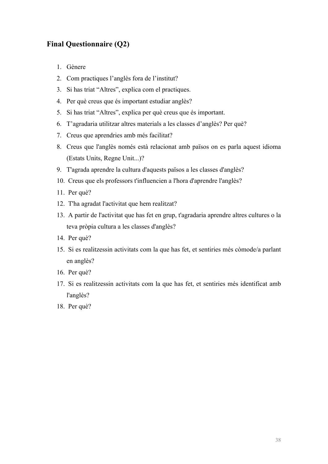# **Final Questionnaire (Q2)**

- 1. Gènere
- 2. Com practiques l'anglès fora de l'institut?
- 3. Si has triat "Altres", explica com el practiques.
- 4. Per què creus que és important estudiar anglès?
- 5. Si has triat "Altres", explica per què creus que és important.
- 6. T'agradaria utilitzar altres materials a les classes d'anglès? Per què?
- 7. Creus que aprendries amb més facilitat?
- 8. Creus que l'anglès només està relacionat amb països on es parla aquest idioma (Estats Units, Regne Unit...)?
- 9. T'agrada aprendre la cultura d'aquests països a les classes d'anglès?
- 10. Creus que els professors t'influencien a l'hora d'aprendre l'anglès?
- 11. Per què?
- 12. T'ha agradat l'activitat que hem realitzat?
- 13. A partir de l'activitat que has fet en grup, t'agradaria aprendre altres cultures o la teva pròpia cultura a les classes d'anglès?
- 14. Per què?
- 15. Si es realitzessin activitats com la que has fet, et sentiries més còmode/a parlant en anglès?
- 16. Per què?
- 17. Si es realitzessin activitats com la que has fet, et sentiries més identificat amb l'anglès?
- 18. Per què?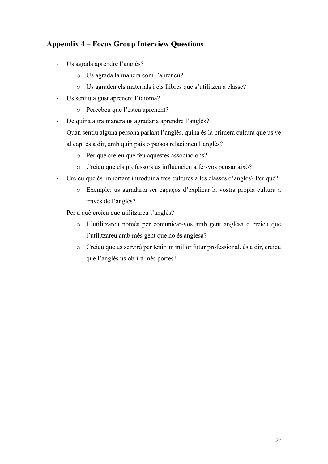# **Appendix 4 – Focus Group Interview Questions**

- Us agrada aprendre l'anglès?
	- o Us agrada la manera com l'apreneu?
	- o Us agraden els materials i els llibres que s'utilitzen a classe?
- Us sentiu a gust aprenent l'idioma?
	- o Percebeu que l'esteu aprenent?
- De quina altra manera us agradaria aprendre l'anglès?
- Quan sentiu alguna persona parlant l'anglès, quina és la primera cultura que us ve al cap, és a dir, amb quin país o països relacioneu l'anglès?
	- o Per què creieu que feu aquestes associacions?
	- o Creieu que els professors us influencien a fer-vos pensar això?
- Creieu que és important introduir altres cultures a les classes d'anglès? Per què?
	- o Exemple: us agradaria ser capaços d'explicar la vostra pròpia cultura a través de l'anglès?
- Per a què creieu que utilitzareu l'anglès?
	- o L'utilitzareu només per comunicar-vos amb gent anglesa o creieu que l'utilitzareu amb més gent que no és anglesa?
	- o Creieu que us servirà per tenir un millor futur professional, és a dir, creieu que l'anglès us obrirà més portes?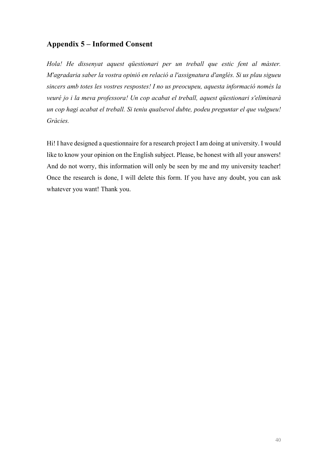# **Appendix 5 – Informed Consent**

*Hola! He dissenyat aquest qüestionari per un treball que estic fent al màster. M'agradaria saber la vostra opinió en relació a l'assignatura d'anglès. Si us plau sigueu sincers amb totes les vostres respostes! I no us preocupeu, aquesta informació només la veuré jo i la meva professora! Un cop acabat el treball, aquest qüestionari s'eliminarà un cop hagi acabat el treball. Si teniu qualsevol dubte, podeu preguntar el que vulgueu! Gràcies.* 

Hi! I have designed a questionnaire for a research project I am doing at university. I would like to know your opinion on the English subject. Please, be honest with all your answers! And do not worry, this information will only be seen by me and my university teacher! Once the research is done, I will delete this form. If you have any doubt, you can ask whatever you want! Thank you.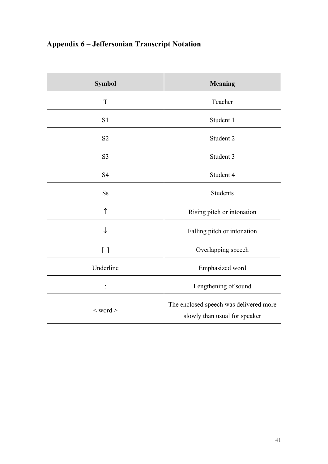# **Appendix 6 – Jeffersonian Transcript Notation**

| <b>Symbol</b>     | <b>Meaning</b>                                                          |
|-------------------|-------------------------------------------------------------------------|
| T                 | Teacher                                                                 |
| S <sub>1</sub>    | Student 1                                                               |
| S <sub>2</sub>    | Student 2                                                               |
| S <sub>3</sub>    | Student 3                                                               |
| S <sub>4</sub>    | Student 4                                                               |
| <b>Ss</b>         | <b>Students</b>                                                         |
| ↑                 | Rising pitch or intonation                                              |
|                   | Falling pitch or intonation                                             |
| $\lceil$ $\rceil$ | Overlapping speech                                                      |
| Underline         | Emphasized word                                                         |
| $\vdots$          | Lengthening of sound                                                    |
| $<$ word $>$      | The enclosed speech was delivered more<br>slowly than usual for speaker |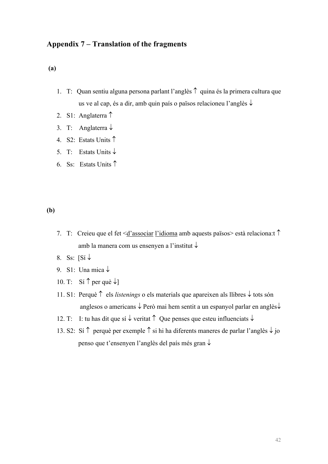### **Appendix 7 – Translation of the fragments**

#### **(a)**

- 1. T: Quan sentiu alguna persona parlant l'anglès  $\uparrow$  quina és la primera cultura que us ve al cap, és a dir, amb quin país o països relacioneu l'anglès  $\downarrow$
- 2. S1: Anglaterra  $\uparrow$
- 3. T: Anglaterra  $\downarrow$
- 4. S2: Estats Units
- 5. T: Estats Units  $\downarrow$
- 6. Ss: Estats Units

#### **(b)**

- 7. T: Creieu que el fet  $\leq d$ 'associar l'idioma amb aquests països està relaciona: t<sup> $\uparrow$ </sup> amb la manera com us ensenyen a l'institut  $\downarrow$
- 8. Ss:  $\sqrt{S}$
- 9. S1: Una mica  $\downarrow$
- 10. T: Sí  $\uparrow$  per què  $\downarrow$ ]
- 11. S1: Perquè  $\uparrow$  els *listenings* o els materials que apareixen als llibres  $\downarrow$  tots són anglesos o americans  $\downarrow$  Però mai hem sentit a un espanyol parlar en anglès $\downarrow$
- 12. T: I: tu has dit que sí  $\downarrow$  veritat  $\uparrow$  Que penses que esteu influenciats  $\downarrow$
- 13. S2: Sí  $\uparrow$  perquè per exemple  $\uparrow$  si hi ha diferents maneres de parlar l'anglès  $\downarrow$  jo penso que t'ensenyen l'anglès del país més gran  $\downarrow$